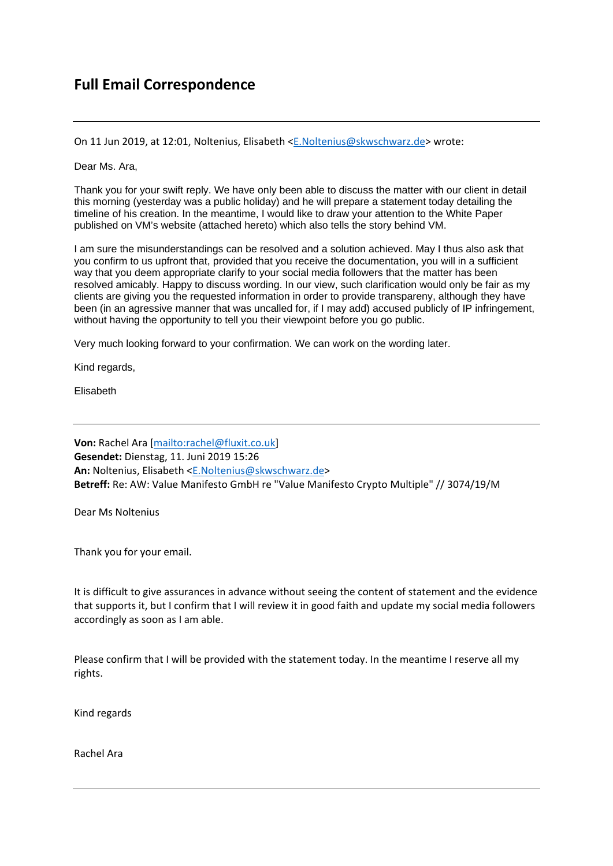## **Full Email Correspondence**

On 11 Jun 2019, at 12:01, Noltenius, Elisabeth <E.Noltenius@skwschwarz.de> wrote:

Dear Ms. Ara,

Thank you for your swift reply. We have only been able to discuss the matter with our client in detail this morning (yesterday was a public holiday) and he will prepare a statement today detailing the timeline of his creation. In the meantime, I would like to draw your attention to the White Paper published on VM's website (attached hereto) which also tells the story behind VM.

I am sure the misunderstandings can be resolved and a solution achieved. May I thus also ask that you confirm to us upfront that, provided that you receive the documentation, you will in a sufficient way that you deem appropriate clarify to your social media followers that the matter has been resolved amicably. Happy to discuss wording. In our view, such clarification would only be fair as my clients are giving you the requested information in order to provide transpareny, although they have been (in an agressive manner that was uncalled for, if I may add) accused publicly of IP infringement, without having the opportunity to tell you their viewpoint before you go public.

Very much looking forward to your confirmation. We can work on the wording later.

Kind regards,

Elisabeth

**Von:** Rachel Ara [mailto:rachel@fluxit.co.uk] **Gesendet:** Dienstag, 11. Juni 2019 15:26 **An:** Noltenius, Elisabeth <E.Noltenius@skwschwarz.de> **Betreff:** Re: AW: Value Manifesto GmbH re "Value Manifesto Crypto Multiple" // 3074/19/M

Dear Ms Noltenius

Thank you for your email.

It is difficult to give assurances in advance without seeing the content of statement and the evidence that supports it, but I confirm that I will review it in good faith and update my social media followers accordingly as soon as I am able.

Please confirm that I will be provided with the statement today. In the meantime I reserve all my rights.

Kind regards

Rachel Ara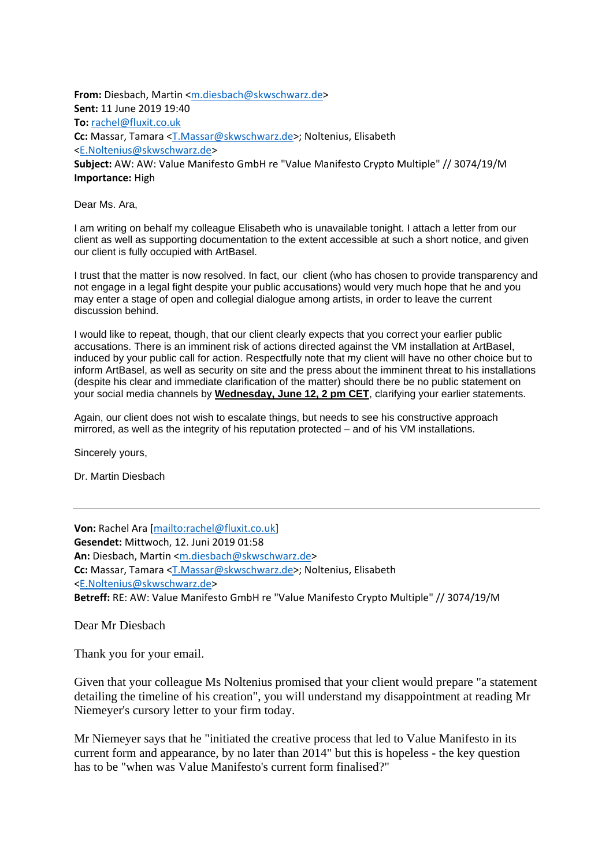From: Diesbach, Martin <m.diesbach@skwschwarz.de> **Sent:** 11 June 2019 19:40 **To:** rachel@fluxit.co.uk **Cc:** Massar, Tamara <T.Massar@skwschwarz.de>; Noltenius, Elisabeth <E.Noltenius@skwschwarz.de> **Subject:** AW: AW: Value Manifesto GmbH re "Value Manifesto Crypto Multiple" // 3074/19/M

**Importance:** High

Dear Ms. Ara,

I am writing on behalf my colleague Elisabeth who is unavailable tonight. I attach a letter from our client as well as supporting documentation to the extent accessible at such a short notice, and given our client is fully occupied with ArtBasel.

I trust that the matter is now resolved. In fact, our client (who has chosen to provide transparency and not engage in a legal fight despite your public accusations) would very much hope that he and you may enter a stage of open and collegial dialogue among artists, in order to leave the current discussion behind.

I would like to repeat, though, that our client clearly expects that you correct your earlier public accusations. There is an imminent risk of actions directed against the VM installation at ArtBasel, induced by your public call for action. Respectfully note that my client will have no other choice but to inform ArtBasel, as well as security on site and the press about the imminent threat to his installations (despite his clear and immediate clarification of the matter) should there be no public statement on your social media channels by **Wednesday, June 12, 2 pm CET**, clarifying your earlier statements.

Again, our client does not wish to escalate things, but needs to see his constructive approach mirrored, as well as the integrity of his reputation protected – and of his VM installations.

Sincerely yours,

Dr. Martin Diesbach

**Von:** Rachel Ara [mailto:rachel@fluxit.co.uk] **Gesendet:** Mittwoch, 12. Juni 2019 01:58 **An:** Diesbach, Martin <m.diesbach@skwschwarz.de> **Cc:** Massar, Tamara <T.Massar@skwschwarz.de>; Noltenius, Elisabeth <E.Noltenius@skwschwarz.de> **Betreff:** RE: AW: Value Manifesto GmbH re "Value Manifesto Crypto Multiple" // 3074/19/M

Dear Mr Diesbach

Thank you for your email.

Given that your colleague Ms Noltenius promised that your client would prepare "a statement detailing the timeline of his creation", you will understand my disappointment at reading Mr Niemeyer's cursory letter to your firm today.

Mr Niemeyer says that he "initiated the creative process that led to Value Manifesto in its current form and appearance, by no later than 2014" but this is hopeless - the key question has to be "when was Value Manifesto's current form finalised?"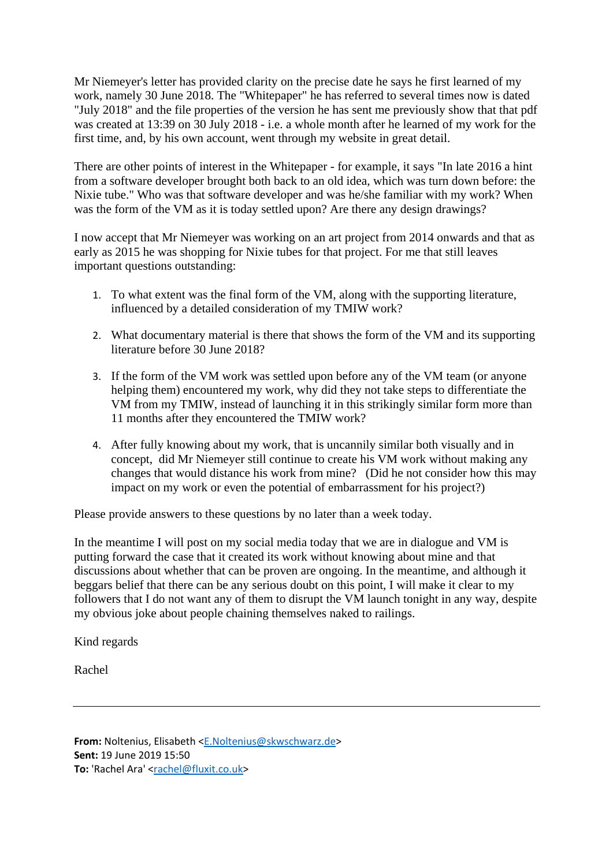Mr Niemeyer's letter has provided clarity on the precise date he says he first learned of my work, namely 30 June 2018. The "Whitepaper" he has referred to several times now is dated "July 2018" and the file properties of the version he has sent me previously show that that pdf was created at 13:39 on 30 July 2018 - i.e. a whole month after he learned of my work for the first time, and, by his own account, went through my website in great detail.

There are other points of interest in the Whitepaper - for example, it says "In late 2016 a hint from a software developer brought both back to an old idea, which was turn down before: the Nixie tube." Who was that software developer and was he/she familiar with my work? When was the form of the VM as it is today settled upon? Are there any design drawings?

I now accept that Mr Niemeyer was working on an art project from 2014 onwards and that as early as 2015 he was shopping for Nixie tubes for that project. For me that still leaves important questions outstanding:

- 1. To what extent was the final form of the VM, along with the supporting literature, influenced by a detailed consideration of my TMIW work?
- 2. What documentary material is there that shows the form of the VM and its supporting literature before 30 June 2018?
- 3. If the form of the VM work was settled upon before any of the VM team (or anyone helping them) encountered my work, why did they not take steps to differentiate the VM from my TMIW, instead of launching it in this strikingly similar form more than 11 months after they encountered the TMIW work?
- 4. After fully knowing about my work, that is uncannily similar both visually and in concept, did Mr Niemeyer still continue to create his VM work without making any changes that would distance his work from mine? (Did he not consider how this may impact on my work or even the potential of embarrassment for his project?)

Please provide answers to these questions by no later than a week today.

In the meantime I will post on my social media today that we are in dialogue and VM is putting forward the case that it created its work without knowing about mine and that discussions about whether that can be proven are ongoing. In the meantime, and although it beggars belief that there can be any serious doubt on this point, I will make it clear to my followers that I do not want any of them to disrupt the VM launch tonight in any way, despite my obvious joke about people chaining themselves naked to railings.

Kind regards

Rachel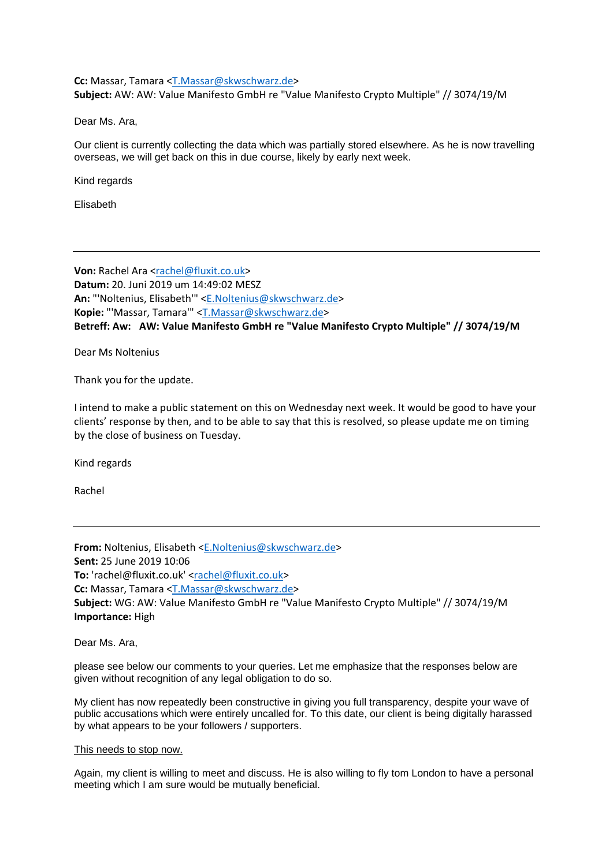## Cc: Massar, Tamara <T.Massar@skwschwarz.de> **Subject:** AW: AW: Value Manifesto GmbH re "Value Manifesto Crypto Multiple" // 3074/19/M

Dear Ms. Ara,

Our client is currently collecting the data which was partially stored elsewhere. As he is now travelling overseas, we will get back on this in due course, likely by early next week.

Kind regards

Elisabeth

**Von:** Rachel Ara <rachel@fluxit.co.uk> **Datum:** 20. Juni 2019 um 14:49:02 MESZ **An:** "'Noltenius, Elisabeth'" <E.Noltenius@skwschwarz.de> **Kopie:** "'Massar, Tamara'" <T.Massar@skwschwarz.de> **Betreff: Aw: AW: Value Manifesto GmbH re "Value Manifesto Crypto Multiple" // 3074/19/M**

Dear Ms Noltenius

Thank you for the update.

I intend to make a public statement on this on Wednesday next week. It would be good to have your clients' response by then, and to be able to say that this is resolved, so please update me on timing by the close of business on Tuesday.

Kind regards

Rachel

**From:** Noltenius, Elisabeth <E.Noltenius@skwschwarz.de> **Sent:** 25 June 2019 10:06 **To:** 'rachel@fluxit.co.uk' <rachel@fluxit.co.uk> **Cc:** Massar, Tamara <T.Massar@skwschwarz.de> **Subject:** WG: AW: Value Manifesto GmbH re "Value Manifesto Crypto Multiple" // 3074/19/M **Importance:** High

Dear Ms. Ara,

please see below our comments to your queries. Let me emphasize that the responses below are given without recognition of any legal obligation to do so.

My client has now repeatedly been constructive in giving you full transparency, despite your wave of public accusations which were entirely uncalled for. To this date, our client is being digitally harassed by what appears to be your followers / supporters.

## This needs to stop now.

Again, my client is willing to meet and discuss. He is also willing to fly tom London to have a personal meeting which I am sure would be mutually beneficial.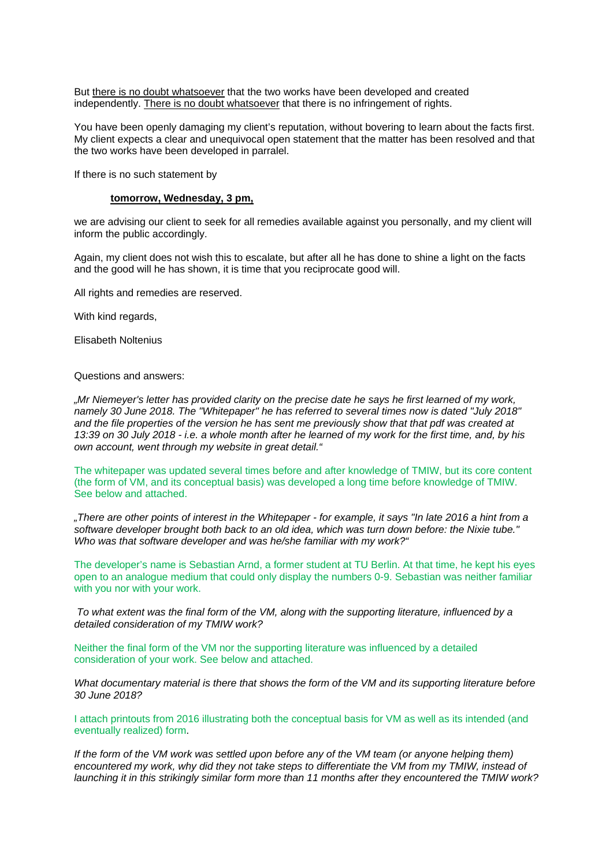But there is no doubt whatsoever that the two works have been developed and created independently. There is no doubt whatsoever that there is no infringement of rights.

You have been openly damaging my client's reputation, without bovering to learn about the facts first. My client expects a clear and unequivocal open statement that the matter has been resolved and that the two works have been developed in parralel.

If there is no such statement by

## **tomorrow, Wednesday, 3 pm,**

we are advising our client to seek for all remedies available against you personally, and my client will inform the public accordingly.

Again, my client does not wish this to escalate, but after all he has done to shine a light on the facts and the good will he has shown, it is time that you reciprocate good will.

All rights and remedies are reserved.

With kind regards.

Elisabeth Noltenius

Questions and answers:

*"Mr Niemeyer's letter has provided clarity on the precise date he says he first learned of my work, namely 30 June 2018. The "Whitepaper" he has referred to several times now is dated "July 2018" and the file properties of the version he has sent me previously show that that pdf was created at 13:39 on 30 July 2018 - i.e. a whole month after he learned of my work for the first time, and, by his own account, went through my website in great detail."* 

The whitepaper was updated several times before and after knowledge of TMIW, but its core content (the form of VM, and its conceptual basis) was developed a long time before knowledge of TMIW. See below and attached.

*"There are other points of interest in the Whitepaper - for example, it says "In late 2016 a hint from a software developer brought both back to an old idea, which was turn down before: the Nixie tube." Who was that software developer and was he/she familiar with my work?"* 

The developer's name is Sebastian Arnd, a former student at TU Berlin. At that time, he kept his eyes open to an analogue medium that could only display the numbers 0-9. Sebastian was neither familiar with you nor with your work.

*To what extent was the final form of the VM, along with the supporting literature, influenced by a detailed consideration of my TMIW work?* 

Neither the final form of the VM nor the supporting literature was influenced by a detailed consideration of your work. See below and attached.

*What documentary material is there that shows the form of the VM and its supporting literature before 30 June 2018?* 

I attach printouts from 2016 illustrating both the conceptual basis for VM as well as its intended (and eventually realized) form.

*If the form of the VM work was settled upon before any of the VM team (or anyone helping them) encountered my work, why did they not take steps to differentiate the VM from my TMIW, instead of launching it in this strikingly similar form more than 11 months after they encountered the TMIW work?*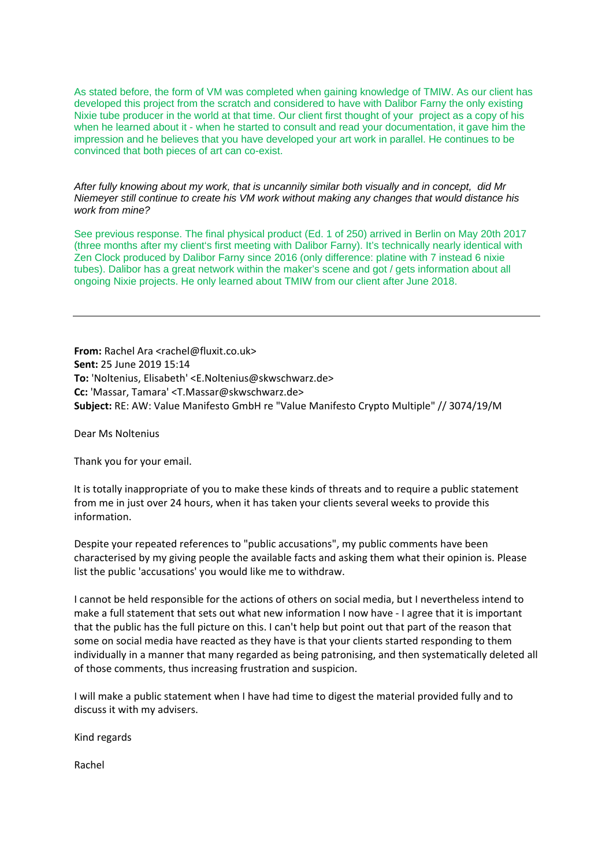As stated before, the form of VM was completed when gaining knowledge of TMIW. As our client has developed this project from the scratch and considered to have with Dalibor Farny the only existing Nixie tube producer in the world at that time. Our client first thought of your project as a copy of his when he learned about it - when he started to consult and read your documentation, it gave him the impression and he believes that you have developed your art work in parallel. He continues to be convinced that both pieces of art can co-exist.

*After fully knowing about my work, that is uncannily similar both visually and in concept, did Mr Niemeyer still continue to create his VM work without making any changes that would distance his work from mine?* 

See previous response. The final physical product (Ed. 1 of 250) arrived in Berlin on May 20th 2017 (three months after my client's first meeting with Dalibor Farny). It's technically nearly identical with Zen Clock produced by Dalibor Farny since 2016 (only difference: platine with 7 instead 6 nixie tubes). Dalibor has a great network within the maker's scene and got / gets information about all ongoing Nixie projects. He only learned about TMIW from our client after June 2018.

**From:** Rachel Ara <rachel@fluxit.co.uk> **Sent:** 25 June 2019 15:14 **To:** 'Noltenius, Elisabeth' <E.Noltenius@skwschwarz.de> **Cc:** 'Massar, Tamara' <T.Massar@skwschwarz.de> **Subject:** RE: AW: Value Manifesto GmbH re "Value Manifesto Crypto Multiple" // 3074/19/M

Dear Ms Noltenius

Thank you for your email.

It is totally inappropriate of you to make these kinds of threats and to require a public statement from me in just over 24 hours, when it has taken your clients several weeks to provide this information.

Despite your repeated references to "public accusations", my public comments have been characterised by my giving people the available facts and asking them what their opinion is. Please list the public 'accusations' you would like me to withdraw.

I cannot be held responsible for the actions of others on social media, but I nevertheless intend to make a full statement that sets out what new information I now have - I agree that it is important that the public has the full picture on this. I can't help but point out that part of the reason that some on social media have reacted as they have is that your clients started responding to them individually in a manner that many regarded as being patronising, and then systematically deleted all of those comments, thus increasing frustration and suspicion.

I will make a public statement when I have had time to digest the material provided fully and to discuss it with my advisers.

Kind regards

Rachel